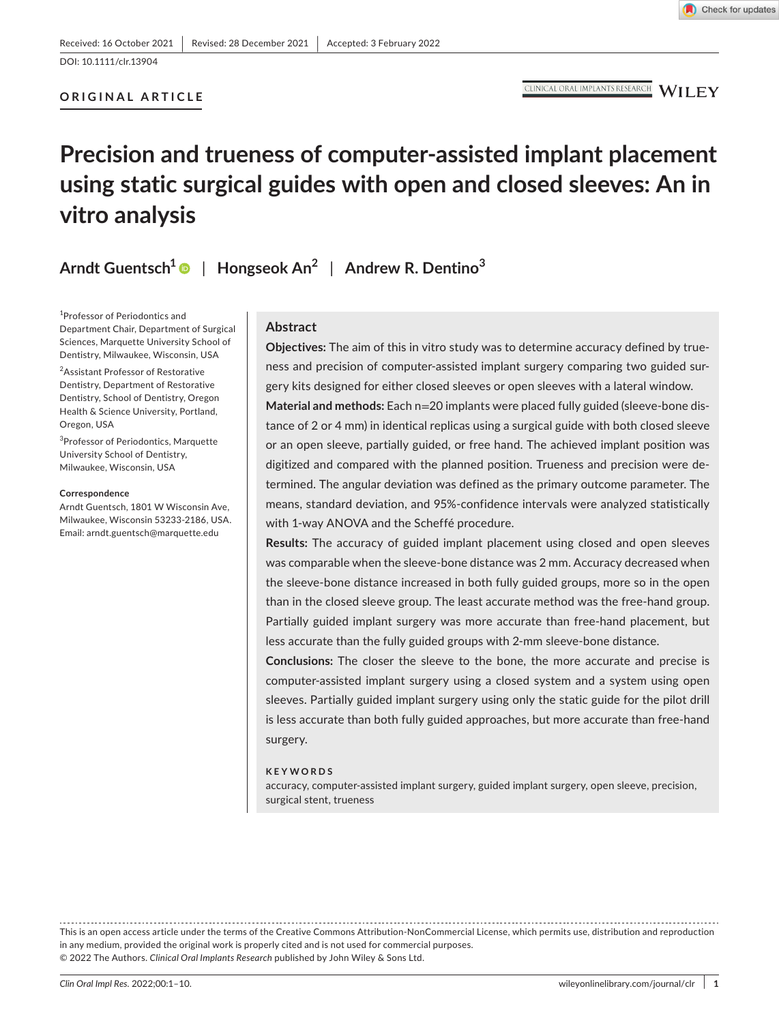**ORIGINAL ARTICLE**

CLINICAL ORAL IMPLANTS RESEARCH WILEY

# **Precision and trueness of computer-assisted implant placement using static surgical guides with open and closed sleeves: An in vitro analysis**

**Arndt Guentsch1** | **Hongseok An2** | **Andrew R. Dentino<sup>3</sup>**

1 Professor of Periodontics and Department Chair, Department of Surgical Sciences, Marquette University School of Dentistry, Milwaukee, Wisconsin, USA

2 Assistant Professor of Restorative Dentistry, Department of Restorative Dentistry, School of Dentistry, Oregon Health & Science University, Portland, Oregon, USA

3 Professor of Periodontics, Marquette University School of Dentistry, Milwaukee, Wisconsin, USA

#### **Correspondence**

Arndt Guentsch, 1801 W Wisconsin Ave, Milwaukee, Wisconsin 53233-2186, USA. Email: [arndt.guentsch@marquette.edu](mailto:arndt.guentsch@marquette.edu)

## **Abstract**

**Objectives:** The aim of this in vitro study was to determine accuracy defined by trueness and precision of computer-assisted implant surgery comparing two guided surgery kits designed for either closed sleeves or open sleeves with a lateral window.

**Material and methods:** Each n=20 implants were placed fully guided (sleeve-bone distance of 2 or 4 mm) in identical replicas using a surgical guide with both closed sleeve or an open sleeve, partially guided, or free hand. The achieved implant position was digitized and compared with the planned position. Trueness and precision were determined. The angular deviation was defined as the primary outcome parameter. The means, standard deviation, and 95%-confidence intervals were analyzed statistically with 1-way ANOVA and the Scheffé procedure.

**Results:** The accuracy of guided implant placement using closed and open sleeves was comparable when the sleeve-bone distance was 2 mm. Accuracy decreased when the sleeve-bone distance increased in both fully guided groups, more so in the open than in the closed sleeve group. The least accurate method was the free-hand group. Partially guided implant surgery was more accurate than free-hand placement, but less accurate than the fully guided groups with 2-mm sleeve-bone distance.

**Conclusions:** The closer the sleeve to the bone, the more accurate and precise is computer-assisted implant surgery using a closed system and a system using open sleeves. Partially guided implant surgery using only the static guide for the pilot drill is less accurate than both fully guided approaches, but more accurate than free-hand surgery.

#### **KEYWORDS**

accuracy, computer-assisted implant surgery, guided implant surgery, open sleeve, precision, surgical stent, trueness

This is an open access article under the terms of the [Creative Commons Attribution-NonCommercial](http://creativecommons.org/licenses/by-nc/4.0/) License, which permits use, distribution and reproduction in any medium, provided the original work is properly cited and is not used for commercial purposes. © 2022 The Authors. *Clinical Oral Implants Research* published by John Wiley & Sons Ltd.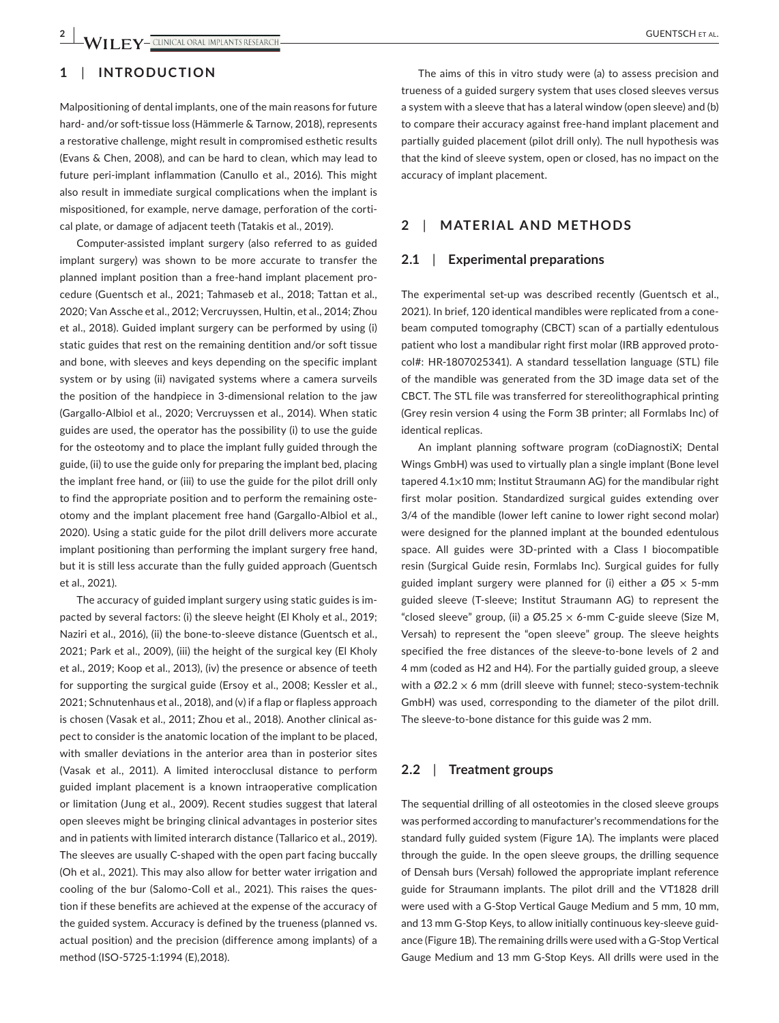# **1**  | **INTRODUCTION**

Malpositioning of dental implants, one of the main reasons for future hard- and/or soft-tissue loss (Hämmerle & Tarnow, 2018), represents a restorative challenge, might result in compromised esthetic results (Evans & Chen, 2008), and can be hard to clean, which may lead to future peri-implant inflammation (Canullo et al., 2016). This might also result in immediate surgical complications when the implant is mispositioned, for example, nerve damage, perforation of the cortical plate, or damage of adjacent teeth (Tatakis et al., 2019).

Computer-assisted implant surgery (also referred to as guided implant surgery) was shown to be more accurate to transfer the planned implant position than a free-hand implant placement procedure (Guentsch et al., 2021; Tahmaseb et al., 2018; Tattan et al., 2020; Van Assche et al., 2012; Vercruyssen, Hultin, et al., 2014; Zhou et al., 2018). Guided implant surgery can be performed by using (i) static guides that rest on the remaining dentition and/or soft tissue and bone, with sleeves and keys depending on the specific implant system or by using (ii) navigated systems where a camera surveils the position of the handpiece in 3-dimensional relation to the jaw (Gargallo-Albiol et al., 2020; Vercruyssen et al., 2014). When static guides are used, the operator has the possibility (i) to use the guide for the osteotomy and to place the implant fully guided through the guide, (ii) to use the guide only for preparing the implant bed, placing the implant free hand, or (iii) to use the guide for the pilot drill only to find the appropriate position and to perform the remaining osteotomy and the implant placement free hand (Gargallo-Albiol et al., 2020). Using a static guide for the pilot drill delivers more accurate implant positioning than performing the implant surgery free hand, but it is still less accurate than the fully guided approach (Guentsch et al., 2021).

The accuracy of guided implant surgery using static guides is impacted by several factors: (i) the sleeve height (El Kholy et al., 2019; Naziri et al., 2016), (ii) the bone-to-sleeve distance (Guentsch et al., 2021; Park et al., 2009), (iii) the height of the surgical key (El Kholy et al., 2019; Koop et al., 2013), (iv) the presence or absence of teeth for supporting the surgical guide (Ersoy et al., 2008; Kessler et al., 2021; Schnutenhaus et al., 2018), and (v) if a flap or flapless approach is chosen (Vasak et al., 2011; Zhou et al., 2018). Another clinical aspect to consider is the anatomic location of the implant to be placed, with smaller deviations in the anterior area than in posterior sites (Vasak et al., 2011). A limited interocclusal distance to perform guided implant placement is a known intraoperative complication or limitation (Jung et al., 2009). Recent studies suggest that lateral open sleeves might be bringing clinical advantages in posterior sites and in patients with limited interarch distance (Tallarico et al., 2019). The sleeves are usually C-shaped with the open part facing buccally (Oh et al., 2021). This may also allow for better water irrigation and cooling of the bur (Salomo-Coll et al., 2021). This raises the question if these benefits are achieved at the expense of the accuracy of the guided system. Accuracy is defined by the trueness (planned vs. actual position) and the precision (difference among implants) of a method (ISO-5725-1:1994 (E),2018).

The aims of this in vitro study were (a) to assess precision and trueness of a guided surgery system that uses closed sleeves versus a system with a sleeve that has a lateral window (open sleeve) and (b) to compare their accuracy against free-hand implant placement and partially guided placement (pilot drill only). The null hypothesis was that the kind of sleeve system, open or closed, has no impact on the accuracy of implant placement.

## **2**  | **MATERIAL AND METHODS**

## **2.1**  | **Experimental preparations**

The experimental set-up was described recently (Guentsch et al., 2021). In brief, 120 identical mandibles were replicated from a conebeam computed tomography (CBCT) scan of a partially edentulous patient who lost a mandibular right first molar (IRB approved protocol#: HR-1807025341). A standard tessellation language (STL) file of the mandible was generated from the 3D image data set of the CBCT. The STL file was transferred for stereolithographical printing (Grey resin version 4 using the Form 3B printer; all Formlabs Inc) of identical replicas.

An implant planning software program (coDiagnostiX; Dental Wings GmbH) was used to virtually plan a single implant (Bone level tapered 4.1×10 mm; Institut Straumann AG) for the mandibular right first molar position. Standardized surgical guides extending over 3/4 of the mandible (lower left canine to lower right second molar) were designed for the planned implant at the bounded edentulous space. All guides were 3D-printed with a Class I biocompatible resin (Surgical Guide resin, Formlabs Inc). Surgical guides for fully guided implant surgery were planned for (i) either a  $\varnothing$ 5 x 5-mm guided sleeve (T-sleeve; Institut Straumann AG) to represent the "closed sleeve" group, (ii) a  $\varnothing$ 5.25  $\times$  6-mm C-guide sleeve (Size M, Versah) to represent the "open sleeve" group. The sleeve heights specified the free distances of the sleeve-to-bone levels of 2 and 4 mm (coded as H2 and H4). For the partially guided group, a sleeve with a  $\varnothing$ 2.2  $\times$  6 mm (drill sleeve with funnel; steco-system-technik GmbH) was used, corresponding to the diameter of the pilot drill. The sleeve-to-bone distance for this guide was 2 mm.

#### **2.2**  | **Treatment groups**

The sequential drilling of all osteotomies in the closed sleeve groups was performed according to manufacturer's recommendations for the standard fully guided system (Figure 1A). The implants were placed through the guide. In the open sleeve groups, the drilling sequence of Densah burs (Versah) followed the appropriate implant reference guide for Straumann implants. The pilot drill and the VT1828 drill were used with a G-Stop Vertical Gauge Medium and 5 mm, 10 mm, and 13 mm G-Stop Keys, to allow initially continuous key-sleeve guidance (Figure 1B). The remaining drills were used with a G-Stop Vertical Gauge Medium and 13 mm G-Stop Keys. All drills were used in the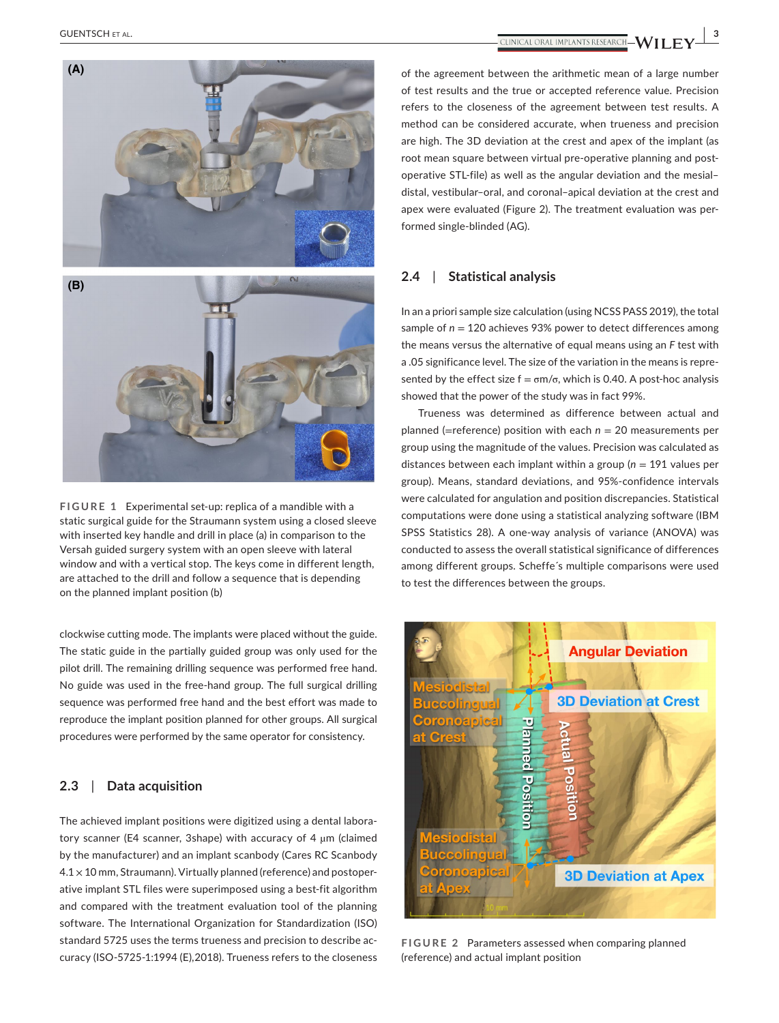

**FIGURE 1** Experimental set-up: replica of a mandible with a static surgical guide for the Straumann system using a closed sleeve with inserted key handle and drill in place (a) in comparison to the Versah guided surgery system with an open sleeve with lateral window and with a vertical stop. The keys come in different length, are attached to the drill and follow a sequence that is depending on the planned implant position (b)

clockwise cutting mode. The implants were placed without the guide. The static guide in the partially guided group was only used for the pilot drill. The remaining drilling sequence was performed free hand. No guide was used in the free-hand group. The full surgical drilling sequence was performed free hand and the best effort was made to reproduce the implant position planned for other groups. All surgical procedures were performed by the same operator for consistency.

## **2.3**  | **Data acquisition**

The achieved implant positions were digitized using a dental laboratory scanner (E4 scanner, 3shape) with accuracy of 4 µm (claimed by the manufacturer) and an implant scanbody (Cares RC Scanbody  $4.1 \times 10$  mm, Straumann). Virtually planned (reference) and postoperative implant STL files were superimposed using a best-fit algorithm and compared with the treatment evaluation tool of the planning software. The International Organization for Standardization (ISO) standard 5725 uses the terms trueness and precision to describe accuracy (ISO-5725-1:1994 (E),2018). Trueness refers to the closeness of the agreement between the arithmetic mean of a large number of test results and the true or accepted reference value. Precision refers to the closeness of the agreement between test results. A method can be considered accurate, when trueness and precision are high. The 3D deviation at the crest and apex of the implant (as root mean square between virtual pre-operative planning and postoperative STL-file) as well as the angular deviation and the mesial– distal, vestibular–oral, and coronal–apical deviation at the crest and apex were evaluated (Figure 2). The treatment evaluation was performed single-blinded (AG).

## **2.4**  | **Statistical analysis**

In an a priori sample size calculation (using NCSS PASS 2019), the total sample of *n* = 120 achieves 93% power to detect differences among the means versus the alternative of equal means using an *F* test with a .05 significance level. The size of the variation in the means is represented by the effect size  $f = \sigma m/\sigma$ , which is 0.40. A post-hoc analysis showed that the power of the study was in fact 99%.

Trueness was determined as difference between actual and planned (=reference) position with each *n* = 20 measurements per group using the magnitude of the values. Precision was calculated as distances between each implant within a group (*n* = 191 values per group). Means, standard deviations, and 95%-confidence intervals were calculated for angulation and position discrepancies. Statistical computations were done using a statistical analyzing software (IBM SPSS Statistics 28). A one-way analysis of variance (ANOVA) was conducted to assess the overall statistical significance of differences among different groups. Scheffe´s multiple comparisons were used to test the differences between the groups.



**FIGURE 2** Parameters assessed when comparing planned (reference) and actual implant position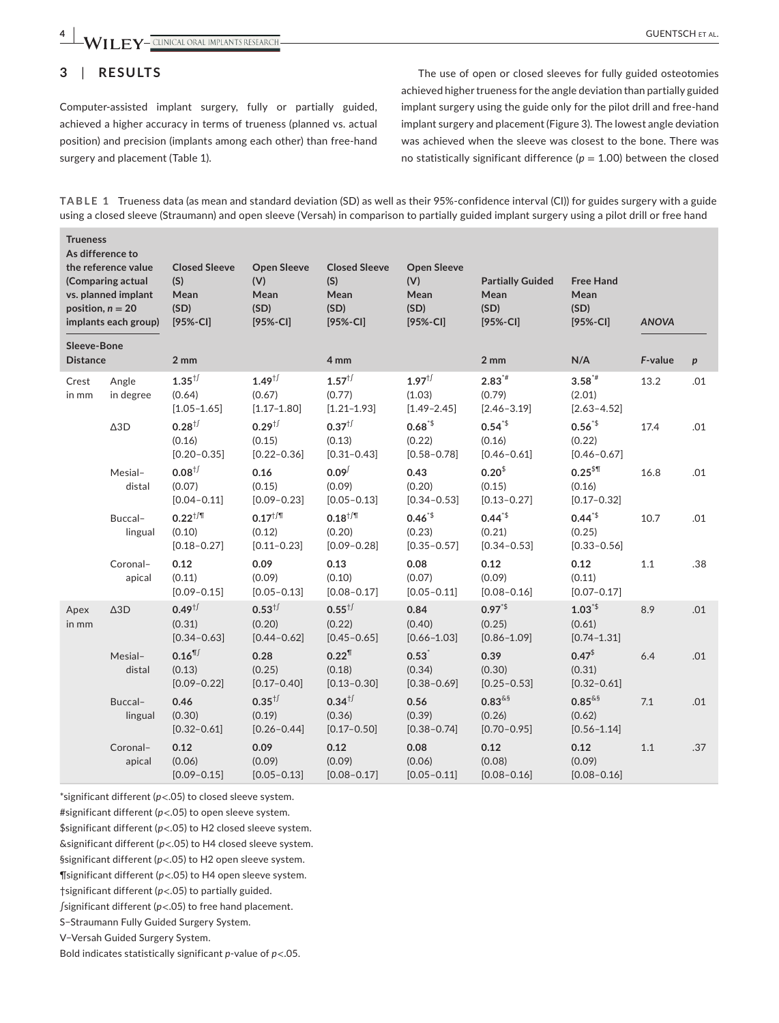**4 WII EV** CUNICAL ORAL IMPLANTS RESEARCH

## **3**  | **RESULTS**

Computer-assisted implant surgery, fully or partially guided, achieved a higher accuracy in terms of trueness (planned vs. actual position) and precision (implants among each other) than free-hand surgery and placement (Table 1).

The use of open or closed sleeves for fully guided osteotomies achieved higher trueness for the angle deviation than partially guided implant surgery using the guide only for the pilot drill and free-hand implant surgery and placement (Figure 3). The lowest angle deviation was achieved when the sleeve was closest to the bone. There was no statistically significant difference  $(p = 1.00)$  between the closed

**TABLE 1** Trueness data (as mean and standard deviation (SD) as well as their 95%-confidence interval (CI)) for guides surgery with a guide using a closed sleeve (Straumann) and open sleeve (Versah) in comparison to partially guided implant surgery using a pilot drill or free hand

| <b>Trueness</b><br>As difference to<br>the reference value<br>(Comparing actual<br>vs. planned implant<br>position, $n = 20$<br>implants each group)<br>Sleeve-Bone |                            | <b>Closed Sleeve</b><br>(S)<br>Mean<br>(SD)<br>$[95% - C1]$ | <b>Open Sleeve</b><br>(V)<br>Mean<br>(SD)<br>$[95% - CI]$ | <b>Closed Sleeve</b><br>(S)<br>Mean<br>(SD)<br>$[95% - C1]$ | <b>Open Sleeve</b><br>(V)<br>Mean<br>(SD)<br>$[95% - C1]$ | <b>Partially Guided</b><br>Mean<br>(SD)<br>$[95% - C1]$ | <b>Free Hand</b><br>Mean<br>(SD)<br>$[95% - CI]$   | <b>ANOVA</b> |                  |
|---------------------------------------------------------------------------------------------------------------------------------------------------------------------|----------------------------|-------------------------------------------------------------|-----------------------------------------------------------|-------------------------------------------------------------|-----------------------------------------------------------|---------------------------------------------------------|----------------------------------------------------|--------------|------------------|
|                                                                                                                                                                     |                            |                                                             |                                                           |                                                             |                                                           |                                                         |                                                    | F-value      |                  |
| <b>Distance</b>                                                                                                                                                     |                            | 2 mm                                                        |                                                           | 4 mm                                                        |                                                           | $2 \, \text{mm}$                                        | N/A                                                |              | $\boldsymbol{p}$ |
| Crest<br>in mm                                                                                                                                                      | Angle<br>in degree         | $1.35^{+/-}$<br>(0.64)<br>$[1.05 - 1.65]$                   | $1.49^{+/-}$<br>(0.67)<br>$[1.17 - 1.80]$                 | $1.57^{1/2}$<br>(0.77)<br>$[1.21 - 1.93]$                   | $1.97^{+/-}$<br>(1.03)<br>$[1.49 - 2.45]$                 | $2.83**$<br>(0.79)<br>$[2.46 - 3.19]$                   | $3.58^{*}$<br>(2.01)<br>$[2.63 - 4.52]$            | 13.2         | .01              |
|                                                                                                                                                                     | $\Delta\mathrm{3D}$        | $0.28^{+}$<br>(0.16)<br>$[0.20 - 0.35]$                     | $0.29^{+/-}$<br>(0.15)<br>$[0.22 - 0.36]$                 | $0.37^{1/3}$<br>(0.13)<br>$[0.31 - 0.43]$                   | $0.68^{5}$<br>(0.22)<br>$[0.58 - 0.78]$                   | $0.54^{4}$<br>(0.16)<br>$[0.46 - 0.61]$                 | $0.56^{*}$<br>(0.22)<br>$[0.46 - 0.67]$            | 17.4         | .01              |
|                                                                                                                                                                     | Mesial-<br>distal          | $0.08^{1/3}$<br>(0.07)<br>$[0.04 - 0.11]$                   | 0.16<br>(0.15)<br>$[0.09 - 0.23]$                         | 0.09 <sup>0</sup><br>(0.09)<br>$[0.05 - 0.13]$              | 0.43<br>(0.20)<br>$[0.34 - 0.53]$                         | $0.20^{5}$<br>(0.15)<br>$[0.13 - 0.27]$                 | $0.25$ <sup>\$¶</sup><br>(0.16)<br>$[0.17 - 0.32]$ | 16.8         | .01              |
|                                                                                                                                                                     | Buccal-<br>lingual         | $0.22^{ \dagger / \P}$<br>(0.10)<br>$[0.18 - 0.27]$         | $0.17^{+/T}$<br>(0.12)<br>$[0.11 - 0.23]$                 | $0.18^{+/T}$<br>(0.20)<br>$[0.09 - 0.28]$                   | $0.46^{*}$<br>(0.23)<br>$[0.35 - 0.57]$                   | $0.44^{*}$<br>(0.21)<br>$[0.34 - 0.53]$                 | $0.44^{*}$<br>(0.25)<br>$[0.33 - 0.56]$            | 10.7         | .01              |
|                                                                                                                                                                     | Coronal-<br>apical         | 0.12<br>(0.11)<br>$[0.09 - 0.15]$                           | 0.09<br>(0.09)<br>$[0.05 - 0.13]$                         | 0.13<br>(0.10)<br>$[0.08 - 0.17]$                           | 0.08<br>(0.07)<br>$[0.05 - 0.11]$                         | 0.12<br>(0.09)<br>$[0.08 - 0.16]$                       | 0.12<br>(0.11)<br>$[0.07 - 0.17]$                  | 1.1          | .38              |
| Apex<br>in mm                                                                                                                                                       | $\triangle$ <sub>3</sub> D | $0.49^{ \dagger /}$<br>(0.31)<br>$[0.34 - 0.63]$            | $0.53^{+/-}$<br>(0.20)<br>$[0.44 - 0.62]$                 | $0.55^{+/-}$<br>(0.22)<br>$[0.45 - 0.65]$                   | 0.84<br>(0.40)<br>$[0.66 - 1.03]$                         | $0.97^{*}$<br>(0.25)<br>$[0.86 - 1.09]$                 | $1.03^{15}$<br>(0.61)<br>$[0.74 - 1.31]$           | 8.9          | .01              |
|                                                                                                                                                                     | Mesial-<br>distal          | $0.16$ <sup>11</sup><br>(0.13)<br>$[0.09 - 0.22]$           | 0.28<br>(0.25)<br>$[0.17 - 0.40]$                         | $0.22^{1}$<br>(0.18)<br>$[0.13 - 0.30]$                     | $0.53^*$<br>(0.34)<br>$[0.38 - 0.69]$                     | 0.39<br>(0.30)<br>$[0.25 - 0.53]$                       | $0.47^{\$}$<br>(0.31)<br>$[0.32 - 0.61]$           | 6.4          | .01              |
|                                                                                                                                                                     | Buccal-<br>lingual         | 0.46<br>(0.30)<br>$[0.32 - 0.61]$                           | $0.35^{+/-}$<br>(0.19)<br>$[0.26 - 0.44]$                 | $0.34^{+/-}$<br>(0.36)<br>$[0.17 - 0.50]$                   | 0.56<br>(0.39)<br>$[0.38 - 0.74]$                         | $0.83$ &s<br>(0.26)<br>$[0.70 - 0.95]$                  | $0.85^{\&\$}$<br>(0.62)<br>$[0.56 - 1.14]$         | 7.1          | .01              |
|                                                                                                                                                                     | Coronal-<br>apical         | 0.12<br>(0.06)<br>$[0.09 - 0.15]$                           | 0.09<br>(0.09)<br>$[0.05 - 0.13]$                         | 0.12<br>(0.09)<br>$[0.08 - 0.17]$                           | 0.08<br>(0.06)<br>$[0.05 - 0.11]$                         | 0.12<br>(0.08)<br>$[0.08 - 0.16]$                       | 0.12<br>(0.09)<br>$[0.08 - 0.16]$                  | 1.1          | .37              |

\*significant different (*p*<.05) to closed sleeve system.

#significant different (*p*<.05) to open sleeve system.

\$significant different (*p*<.05) to H2 closed sleeve system.

&significant different (*p*<.05) to H4 closed sleeve system.

§significant different (*p*<.05) to H2 open sleeve system.

¶significant different (*p*<.05) to H4 open sleeve system.

†significant different (*p*<.05) to partially guided.

∫significant different (*p*<.05) to free hand placement.

S−Straumann Fully Guided Surgery System.

V−Versah Guided Surgery System.

Bold indicates statistically significant *p*-value of *p*<.05.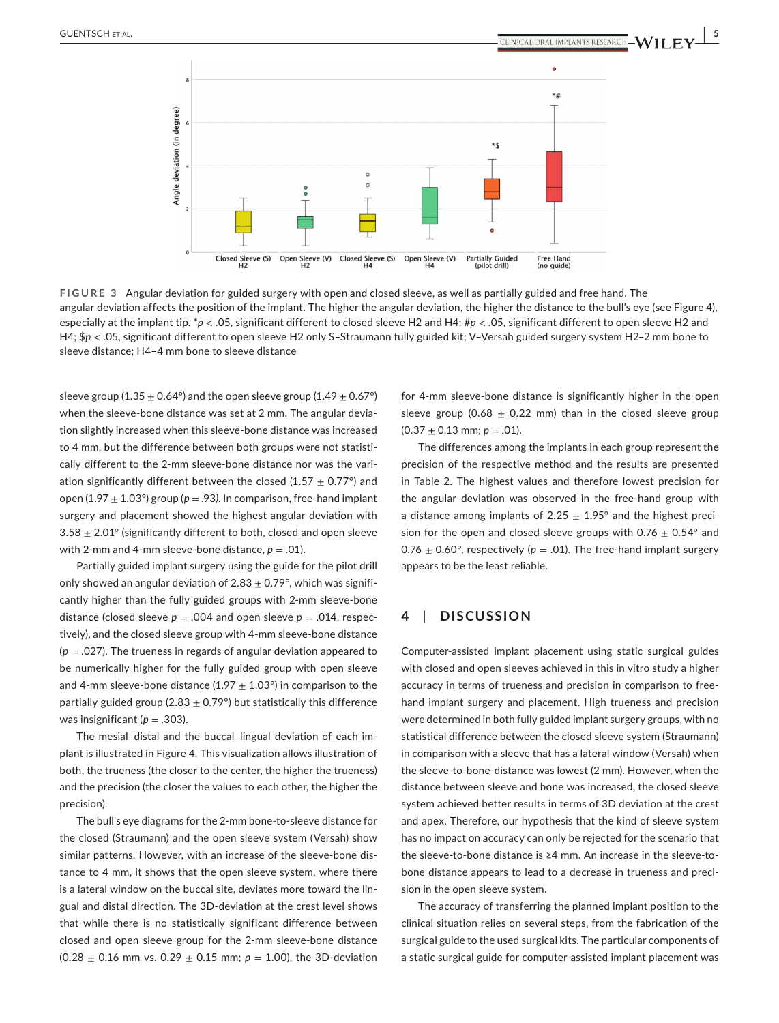

**FIGURE 3** Angular deviation for guided surgery with open and closed sleeve, as well as partially guided and free hand. The angular deviation affects the position of the implant. The higher the angular deviation, the higher the distance to the bull's eye (see Figure 4), especially at the implant tip. \**p* < .05, significant different to closed sleeve H2 and H4; #*p* < .05, significant different to open sleeve H2 and H4; \$*p* < .05, significant different to open sleeve H2 only S–Straumann fully guided kit; V–Versah guided surgery system H2–2 mm bone to sleeve distance; H4–4 mm bone to sleeve distance

sleeve group (1.35  $\pm$  0.64°) and the open sleeve group (1.49  $\pm$  0.67°) when the sleeve-bone distance was set at 2 mm. The angular deviation slightly increased when this sleeve-bone distance was increased to 4 mm, but the difference between both groups were not statistically different to the 2-mm sleeve-bone distance nor was the variation significantly different between the closed (1.57  $\pm$  0.77°) and open (1.97  $\pm$  1.03°) group ( $p = .93$ ). In comparison, free-hand implant surgery and placement showed the highest angular deviation with  $3.58 \pm 2.01^{\circ}$  (significantly different to both, closed and open sleeve with 2-mm and 4-mm sleeve-bone distance,  $p = .01$ ).

Partially guided implant surgery using the guide for the pilot drill only showed an angular deviation of  $2.83 \pm 0.79^{\circ}$ , which was significantly higher than the fully guided groups with 2-mm sleeve-bone distance (closed sleeve  $p = .004$  and open sleeve  $p = .014$ , respectively), and the closed sleeve group with 4-mm sleeve-bone distance (*p* = .027). The trueness in regards of angular deviation appeared to be numerically higher for the fully guided group with open sleeve and 4-mm sleeve-bone distance (1.97  $\pm$  1.03°) in comparison to the partially guided group (2.83  $\pm$  0.79°) but statistically this difference was insignificant ( $p = .303$ ).

The mesial–distal and the buccal–lingual deviation of each implant is illustrated in Figure 4. This visualization allows illustration of both, the trueness (the closer to the center, the higher the trueness) and the precision (the closer the values to each other, the higher the precision).

The bull's eye diagrams for the 2-mm bone-to-sleeve distance for the closed (Straumann) and the open sleeve system (Versah) show similar patterns. However, with an increase of the sleeve-bone distance to 4 mm, it shows that the open sleeve system, where there is a lateral window on the buccal site, deviates more toward the lingual and distal direction. The 3D-deviation at the crest level shows that while there is no statistically significant difference between closed and open sleeve group for the 2-mm sleeve-bone distance (0.28 ± 0.16 mm vs. 0.29 ± 0.15 mm; *p* = 1.00), the 3D-deviation

for 4-mm sleeve-bone distance is significantly higher in the open sleeve group (0.68  $\pm$  0.22 mm) than in the closed sleeve group  $(0.37 \pm 0.13 \text{ mm}; p = .01)$ .

The differences among the implants in each group represent the precision of the respective method and the results are presented in Table 2. The highest values and therefore lowest precision for the angular deviation was observed in the free-hand group with a distance among implants of 2.25  $\pm$  1.95° and the highest precision for the open and closed sleeve groups with  $0.76 \pm 0.54$ ° and 0.76  $\pm$  0.60°, respectively ( $p = .01$ ). The free-hand implant surgery appears to be the least reliable.

## **4**  | **DISCUSSION**

Computer-assisted implant placement using static surgical guides with closed and open sleeves achieved in this in vitro study a higher accuracy in terms of trueness and precision in comparison to freehand implant surgery and placement. High trueness and precision were determined in both fully guided implant surgery groups, with no statistical difference between the closed sleeve system (Straumann) in comparison with a sleeve that has a lateral window (Versah) when the sleeve-to-bone-distance was lowest (2 mm). However, when the distance between sleeve and bone was increased, the closed sleeve system achieved better results in terms of 3D deviation at the crest and apex. Therefore, our hypothesis that the kind of sleeve system has no impact on accuracy can only be rejected for the scenario that the sleeve-to-bone distance is ≥4 mm. An increase in the sleeve-tobone distance appears to lead to a decrease in trueness and precision in the open sleeve system.

The accuracy of transferring the planned implant position to the clinical situation relies on several steps, from the fabrication of the surgical guide to the used surgical kits. The particular components of a static surgical guide for computer-assisted implant placement was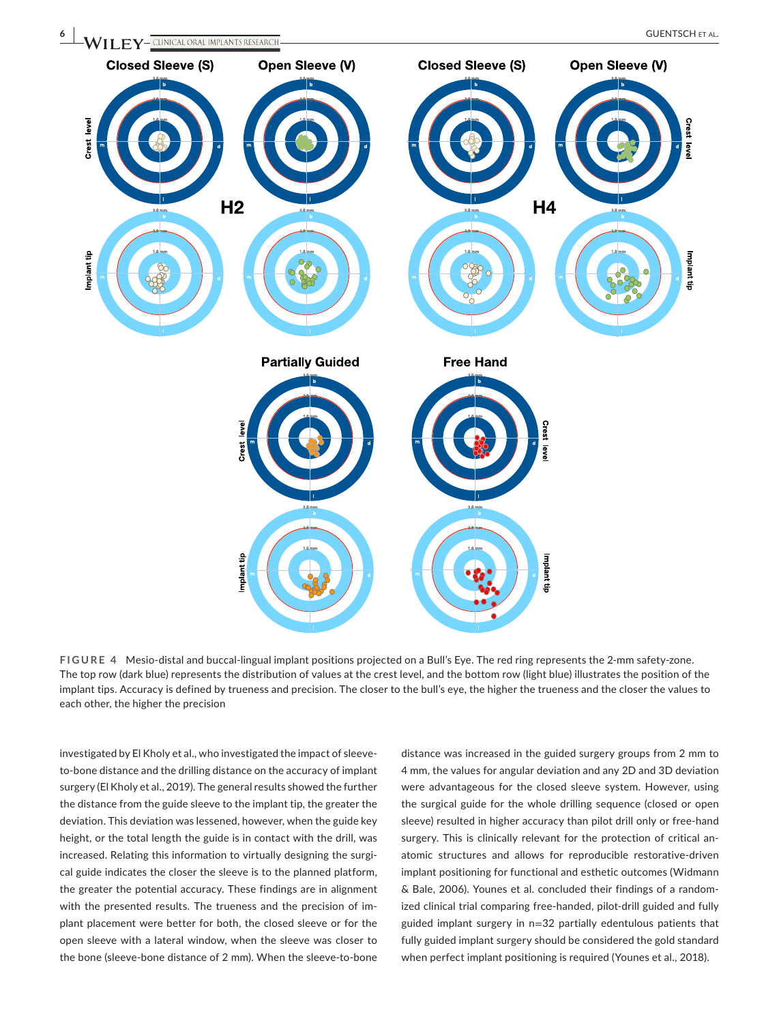

**FIGURE 4** Mesio-distal and buccal-lingual implant positions projected on a Bull's Eye. The red ring represents the 2-mm safety-zone. The top row (dark blue) represents the distribution of values at the crest level, and the bottom row (light blue) illustrates the position of the implant tips. Accuracy is defined by trueness and precision. The closer to the bull's eye, the higher the trueness and the closer the values to each other, the higher the precision

investigated by El Kholy et al., who investigated the impact of sleeveto-bone distance and the drilling distance on the accuracy of implant surgery (El Kholy et al., 2019). The general results showed the further the distance from the guide sleeve to the implant tip, the greater the deviation. This deviation was lessened, however, when the guide key height, or the total length the guide is in contact with the drill, was increased. Relating this information to virtually designing the surgical guide indicates the closer the sleeve is to the planned platform, the greater the potential accuracy. These findings are in alignment with the presented results. The trueness and the precision of implant placement were better for both, the closed sleeve or for the open sleeve with a lateral window, when the sleeve was closer to the bone (sleeve-bone distance of 2 mm). When the sleeve-to-bone distance was increased in the guided surgery groups from 2 mm to 4 mm, the values for angular deviation and any 2D and 3D deviation were advantageous for the closed sleeve system. However, using the surgical guide for the whole drilling sequence (closed or open sleeve) resulted in higher accuracy than pilot drill only or free-hand surgery. This is clinically relevant for the protection of critical anatomic structures and allows for reproducible restorative-driven implant positioning for functional and esthetic outcomes (Widmann & Bale, 2006). Younes et al. concluded their findings of a randomized clinical trial comparing free-handed, pilot-drill guided and fully guided implant surgery in n=32 partially edentulous patients that fully guided implant surgery should be considered the gold standard when perfect implant positioning is required (Younes et al., 2018).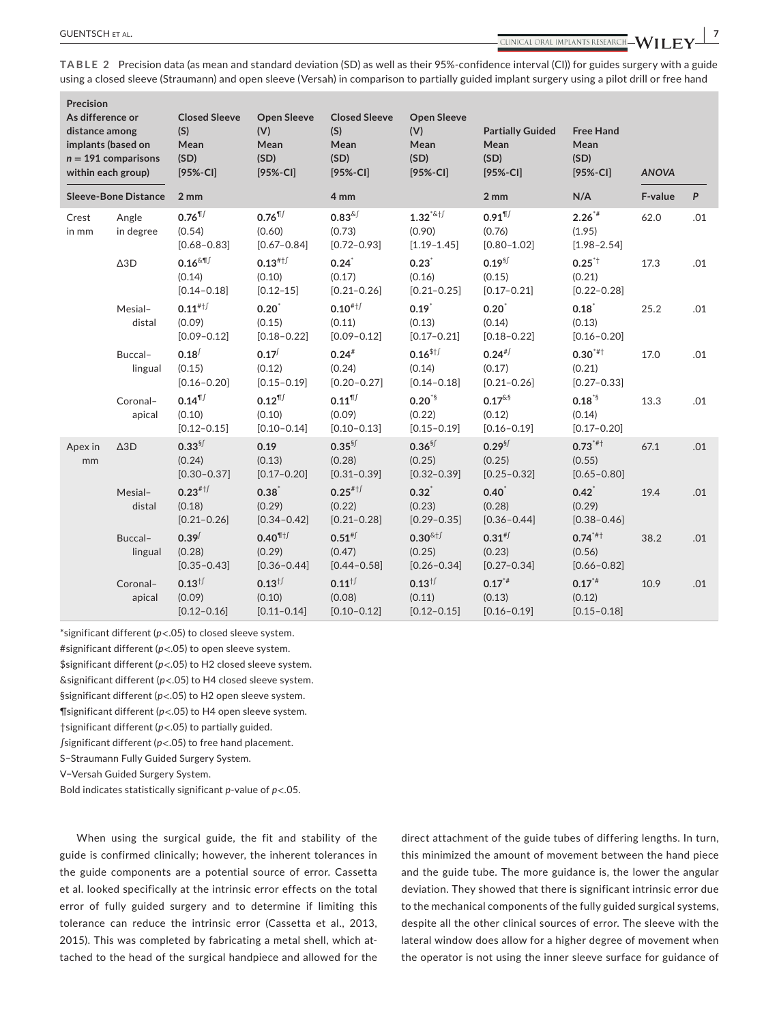**TABLE 2** Precision data (as mean and standard deviation (SD) as well as their 95%-confidence interval (CI)) for guides surgery with a guide using a closed sleeve (Straumann) and open sleeve (Versah) in comparison to partially guided implant surgery using a pilot drill or free hand

| Precision<br>As difference or<br>distance among<br>implants (based on<br>$n = 191$ comparisons<br>within each group)<br><b>Sleeve-Bone Distance</b> |                            | <b>Closed Sleeve</b><br>(S)<br>Mean<br>(SD)<br>$[95% - CI]$    | <b>Open Sleeve</b><br>(V)<br>Mean<br>(SD)<br>$[95% - C1]$              | <b>Closed Sleeve</b><br>(S)<br>Mean<br>(SD)<br>$[95% - C1]$                               | <b>Open Sleeve</b><br>(V)<br>Mean<br>(SD)<br>$[95% - CI]$                  | <b>Partially Guided</b><br>Mean<br>(SD)<br>$[95% - CI]$ | <b>Free Hand</b><br>Mean<br>(SD)<br>$[95% - CI]$ | <b>ANOVA</b> |                  |
|-----------------------------------------------------------------------------------------------------------------------------------------------------|----------------------------|----------------------------------------------------------------|------------------------------------------------------------------------|-------------------------------------------------------------------------------------------|----------------------------------------------------------------------------|---------------------------------------------------------|--------------------------------------------------|--------------|------------------|
|                                                                                                                                                     |                            | 2 mm                                                           |                                                                        | 4 mm                                                                                      |                                                                            | 2mm                                                     | N/A                                              | F-value      | $\boldsymbol{P}$ |
| Crest<br>in mm                                                                                                                                      | Angle<br>in degree         | $0.76$ <sup>11</sup><br>(0.54)<br>$[0.68 - 0.83]$              | $0.76$ <sup>11</sup><br>(0.60)<br>$[0.67 - 0.84]$                      | $0.83$ <sup><math>\&amp;</math> <math>\sqrt{\ }</math></sup><br>(0.73)<br>$[0.72 - 0.93]$ | $1.32^{*8}$ <sup>1</sup><br>(0.90)<br>$[1.19 - 1.45]$                      | $0.91$ <sup>11</sup><br>(0.76)<br>$[0.80 - 1.02]$       | $2.26**$<br>(1.95)<br>$[1.98 - 2.54]$            | 62.0         | .01              |
|                                                                                                                                                     | $\triangle 3D$             | $0.16$ $\text{mJ}$<br>(0.14)<br>$[0.14 - 0.18]$                | $0.13^{#+}$<br>(0.10)<br>$[0.12 - 15]$                                 | $0.24$ <sup>*</sup><br>(0.17)<br>$[0.21 - 0.26]$                                          | 0.23<br>(0.16)<br>$[0.21 - 0.25]$                                          | $0.19^{5}$<br>(0.15)<br>$[0.17 - 0.21]$                 | $0.25^{*+}$<br>(0.21)<br>$[0.22 - 0.28]$         | 17.3         | .01              |
|                                                                                                                                                     | Mesial-<br>distal          | $0.11^{#+f}$<br>(0.09)<br>$[0.09 - 0.12]$                      | 0.20<br>(0.15)<br>$[0.18 - 0.22]$                                      | $0.10^{#+}$<br>(0.11)<br>$[0.09 - 0.12]$                                                  | 0.19<br>(0.13)<br>$[0.17 - 0.21]$                                          | 0.20<br>(0.14)<br>$[0.18 - 0.22]$                       | 0.18<br>(0.13)<br>$[0.16 - 0.20]$                | 25.2         | .01              |
|                                                                                                                                                     | Buccal-<br>lingual         | $0.18^{$<br>(0.15)<br>$[0.16 - 0.20]$                          | $0.17^{(1)}$<br>(0.12)<br>$[0.15 - 0.19]$                              | $0.24^{*}$<br>(0.24)<br>$[0.20 - 0.27]$                                                   | $0.16$ <sup>\$†<math>\sqrt{ }</math></sup><br>(0.14)<br>$[0.14 - 0.18]$    | $0.24^{#}$<br>(0.17)<br>$[0.21 - 0.26]$                 | $0.30^{*}$ #†<br>(0.21)<br>$[0.27 - 0.33]$       | 17.0         | .01              |
|                                                                                                                                                     | Coronal-<br>apical         | $0.14$ <sup><math>\P</math></sup><br>(0.10)<br>$[0.12 - 0.15]$ | $0.12$ <sup><math>\P</math><i>j</i></sup><br>(0.10)<br>$[0.10 - 0.14]$ | $0.11$ <sup>11</sup><br>(0.09)<br>$[0.10 - 0.13]$                                         | $0.20^{5}$<br>(0.22)<br>$[0.15 - 0.19]$                                    | $0.17^{\&\$}$<br>(0.12)<br>$[0.16 - 0.19]$              | $0.18^{15}$<br>(0.14)<br>$[0.17 - 0.20]$         | 13.3         | .01              |
| Apex in<br>mm                                                                                                                                       | $\triangle$ <sub>3</sub> D | $0.33^{5}$<br>(0.24)<br>$[0.30 - 0.37]$                        | 0.19<br>(0.13)<br>$[0.17 - 0.20]$                                      | $0.35$ <sup>§ <math>\sqrt{ }</math></sup><br>(0.28)<br>$[0.31 - 0.39]$                    | $0.36$ <sup>§</sup><br>(0.25)<br>$[0.32 - 0.39]$                           | $0.29^{5}$<br>(0.25)<br>$[0.25 - 0.32]$                 | $0.73***$<br>(0.55)<br>$[0.65 - 0.80]$           | 67.1         | .01              |
|                                                                                                                                                     | Mesial-<br>distal          | $0.23$ #1<br>(0.18)<br>$[0.21 - 0.26]$                         | 0.38<br>(0.29)<br>$[0.34 - 0.42]$                                      | $0.25$ <sup>#1<math>\sqrt{ }</math></sup><br>(0.22)<br>$[0.21 - 0.28]$                    | 0.32<br>(0.23)<br>$[0.29 - 0.35]$                                          | 0.40<br>(0.28)<br>$[0.36 - 0.44]$                       | $0.42^{*}$<br>(0.29)<br>$[0.38 - 0.46]$          | 19.4         | .01              |
|                                                                                                                                                     | Buccal-<br>lingual         | $0.39^{/}$<br>(0.28)<br>$[0.35 - 0.43]$                        | $0.40$ <sup>11</sup><br>(0.29)<br>$[0.36 - 0.44]$                      | $0.51^{# f}$<br>(0.47)<br>$[0.44 - 0.58]$                                                 | $0.30$ <sup>&amp;+<math>\sqrt{1}</math></sup><br>(0.25)<br>$[0.26 - 0.34]$ | $0.31^{# f}$<br>(0.23)<br>$[0.27 - 0.34]$               | $0.74***$<br>(0.56)<br>$[0.66 - 0.82]$           | 38.2         | .01              |
|                                                                                                                                                     | Coronal-<br>apical         | $0.13^{+/-}$<br>(0.09)<br>$[0.12 - 0.16]$                      | $0.13^{+/-}$<br>(0.10)<br>$[0.11 - 0.14]$                              | $0.11^{1}$<br>(0.08)<br>$[0.10 - 0.12]$                                                   | $0.13^{+/-}$<br>(0.11)<br>$[0.12 - 0.15]$                                  | $0.17**$<br>(0.13)<br>$[0.16 - 0.19]$                   | $0.17**$<br>(0.12)<br>$[0.15 - 0.18]$            | 10.9         | .01              |

\*significant different (*p*<.05) to closed sleeve system. #significant different (*p*<.05) to open sleeve system. \$significant different (*p*<.05) to H2 closed sleeve system.

&significant different (*p*<.05) to H4 closed sleeve system.

§significant different (*p*<.05) to H2 open sleeve system.

¶significant different (*p*<.05) to H4 open sleeve system.

†significant different (*p*<.05) to partially guided.

∫significant different (*p*<.05) to free hand placement.

S−Straumann Fully Guided Surgery System.

V−Versah Guided Surgery System.

Bold indicates statistically significant *p*-value of *p*<.05.

When using the surgical guide, the fit and stability of the guide is confirmed clinically; however, the inherent tolerances in the guide components are a potential source of error. Cassetta et al. looked specifically at the intrinsic error effects on the total error of fully guided surgery and to determine if limiting this tolerance can reduce the intrinsic error (Cassetta et al., 2013, 2015). This was completed by fabricating a metal shell, which attached to the head of the surgical handpiece and allowed for the

direct attachment of the guide tubes of differing lengths. In turn, this minimized the amount of movement between the hand piece and the guide tube. The more guidance is, the lower the angular deviation. They showed that there is significant intrinsic error due to the mechanical components of the fully guided surgical systems, despite all the other clinical sources of error. The sleeve with the lateral window does allow for a higher degree of movement when the operator is not using the inner sleeve surface for guidance of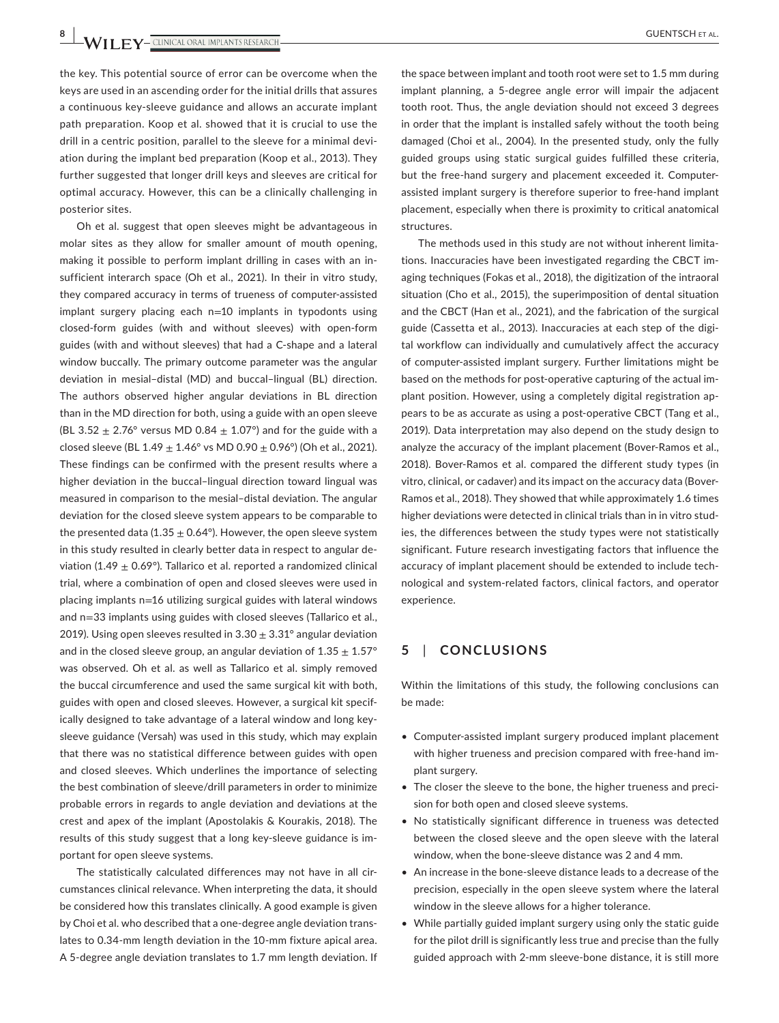**8 <sup>|</sup>**  GUENTSCH et al.

the key. This potential source of error can be overcome when the keys are used in an ascending order for the initial drills that assures a continuous key-sleeve guidance and allows an accurate implant path preparation. Koop et al. showed that it is crucial to use the drill in a centric position, parallel to the sleeve for a minimal deviation during the implant bed preparation (Koop et al., 2013). They further suggested that longer drill keys and sleeves are critical for optimal accuracy. However, this can be a clinically challenging in posterior sites.

Oh et al. suggest that open sleeves might be advantageous in molar sites as they allow for smaller amount of mouth opening, making it possible to perform implant drilling in cases with an insufficient interarch space (Oh et al., 2021). In their in vitro study, they compared accuracy in terms of trueness of computer-assisted implant surgery placing each n=10 implants in typodonts using closed-form guides (with and without sleeves) with open-form guides (with and without sleeves) that had a C-shape and a lateral window buccally. The primary outcome parameter was the angular deviation in mesial–distal (MD) and buccal–lingual (BL) direction. The authors observed higher angular deviations in BL direction than in the MD direction for both, using a guide with an open sleeve (BL 3.52  $\pm$  2.76° versus MD 0.84  $\pm$  1.07°) and for the guide with a closed sleeve (BL  $1.49 \pm 1.46$ ° vs MD 0.90  $\pm$  0.96°) (Oh et al., 2021). These findings can be confirmed with the present results where a higher deviation in the buccal–lingual direction toward lingual was measured in comparison to the mesial–distal deviation. The angular deviation for the closed sleeve system appears to be comparable to the presented data (1.35  $\pm$  0.64°). However, the open sleeve system in this study resulted in clearly better data in respect to angular deviation (1.49  $\pm$  0.69°). Tallarico et al. reported a randomized clinical trial, where a combination of open and closed sleeves were used in placing implants n=16 utilizing surgical guides with lateral windows and n=33 implants using guides with closed sleeves (Tallarico et al., 2019). Using open sleeves resulted in  $3.30 \pm 3.31^\circ$  angular deviation and in the closed sleeve group, an angular deviation of  $1.35 \pm 1.57$ ° was observed. Oh et al. as well as Tallarico et al. simply removed the buccal circumference and used the same surgical kit with both, guides with open and closed sleeves. However, a surgical kit specifically designed to take advantage of a lateral window and long keysleeve guidance (Versah) was used in this study, which may explain that there was no statistical difference between guides with open and closed sleeves. Which underlines the importance of selecting the best combination of sleeve/drill parameters in order to minimize probable errors in regards to angle deviation and deviations at the crest and apex of the implant (Apostolakis & Kourakis, 2018). The results of this study suggest that a long key-sleeve guidance is important for open sleeve systems.

The statistically calculated differences may not have in all circumstances clinical relevance. When interpreting the data, it should be considered how this translates clinically. A good example is given by Choi et al. who described that a one-degree angle deviation translates to 0.34-mm length deviation in the 10-mm fixture apical area. A 5-degree angle deviation translates to 1.7 mm length deviation. If

the space between implant and tooth root were set to 1.5 mm during implant planning, a 5-degree angle error will impair the adjacent tooth root. Thus, the angle deviation should not exceed 3 degrees in order that the implant is installed safely without the tooth being damaged (Choi et al., 2004). In the presented study, only the fully guided groups using static surgical guides fulfilled these criteria, but the free-hand surgery and placement exceeded it. Computerassisted implant surgery is therefore superior to free-hand implant placement, especially when there is proximity to critical anatomical structures.

The methods used in this study are not without inherent limitations. Inaccuracies have been investigated regarding the CBCT imaging techniques (Fokas et al., 2018), the digitization of the intraoral situation (Cho et al., 2015), the superimposition of dental situation and the CBCT (Han et al., 2021), and the fabrication of the surgical guide (Cassetta et al., 2013). Inaccuracies at each step of the digital workflow can individually and cumulatively affect the accuracy of computer-assisted implant surgery. Further limitations might be based on the methods for post-operative capturing of the actual implant position. However, using a completely digital registration appears to be as accurate as using a post-operative CBCT (Tang et al., 2019). Data interpretation may also depend on the study design to analyze the accuracy of the implant placement (Bover-Ramos et al., 2018). Bover-Ramos et al. compared the different study types (in vitro, clinical, or cadaver) and its impact on the accuracy data (Bover-Ramos et al., 2018). They showed that while approximately 1.6 times higher deviations were detected in clinical trials than in in vitro studies, the differences between the study types were not statistically significant. Future research investigating factors that influence the accuracy of implant placement should be extended to include technological and system-related factors, clinical factors, and operator experience.

## **5**  | **CONCLUSIONS**

Within the limitations of this study, the following conclusions can be made:

- Computer-assisted implant surgery produced implant placement with higher trueness and precision compared with free-hand implant surgery.
- The closer the sleeve to the bone, the higher trueness and precision for both open and closed sleeve systems.
- No statistically significant difference in trueness was detected between the closed sleeve and the open sleeve with the lateral window, when the bone-sleeve distance was 2 and 4 mm.
- An increase in the bone-sleeve distance leads to a decrease of the precision, especially in the open sleeve system where the lateral window in the sleeve allows for a higher tolerance.
- While partially guided implant surgery using only the static guide for the pilot drill is significantly less true and precise than the fully guided approach with 2-mm sleeve-bone distance, it is still more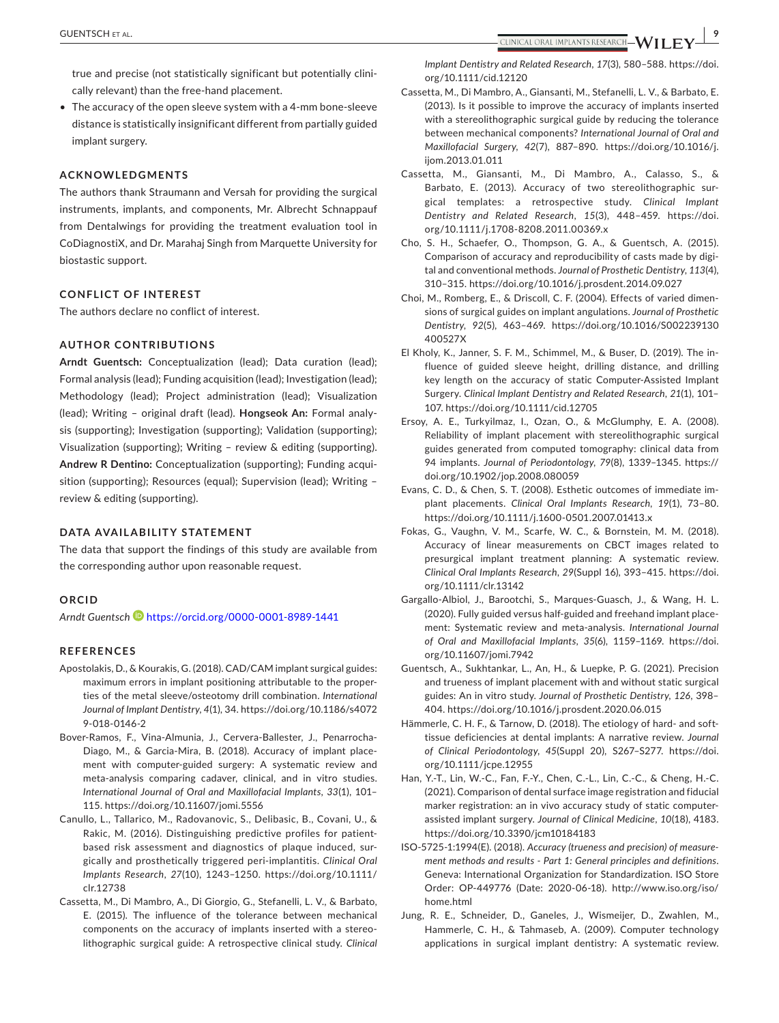true and precise (not statistically significant but potentially clinically relevant) than the free-hand placement.

• The accuracy of the open sleeve system with a 4-mm bone-sleeve distance is statistically insignificant different from partially guided implant surgery.

#### **ACKNOWLEDGMENTS**

The authors thank Straumann and Versah for providing the surgical instruments, implants, and components, Mr. Albrecht Schnappauf from Dentalwings for providing the treatment evaluation tool in CoDiagnostiX, and Dr. Marahaj Singh from Marquette University for biostastic support.

## **CONFLICT OF INTEREST**

The authors declare no conflict of interest.

## **AUTHOR CONTRIBUTIONS**

**Arndt Guentsch:** Conceptualization (lead); Data curation (lead); Formal analysis (lead); Funding acquisition (lead); Investigation (lead); Methodology (lead); Project administration (lead); Visualization (lead); Writing – original draft (lead). **Hongseok An:** Formal analysis (supporting); Investigation (supporting); Validation (supporting); Visualization (supporting); Writing – review & editing (supporting). **Andrew R Dentino:** Conceptualization (supporting); Funding acquisition (supporting); Resources (equal); Supervision (lead); Writing – review & editing (supporting).

## **DATA AVAILABILITY STATEMENT**

The data that support the findings of this study are available from the corresponding author upon reasonable request.

#### **ORCID**

*Arndt Guentsch* <https://orcid.org/0000-0001-8989-1441>

#### **REFERENCES**

- Apostolakis, D., & Kourakis, G. (2018). CAD/CAM implant surgical guides: maximum errors in implant positioning attributable to the properties of the metal sleeve/osteotomy drill combination. *International Journal of Implant Dentistry*, *4*(1), 34. [https://doi.org/10.1186/s4072](https://doi.org/10.1186/s40729-018-0146-2) [9-018-0146-2](https://doi.org/10.1186/s40729-018-0146-2)
- Bover-Ramos, F., Vina-Almunia, J., Cervera-Ballester, J., Penarrocha-Diago, M., & Garcia-Mira, B. (2018). Accuracy of implant placement with computer-guided surgery: A systematic review and meta-analysis comparing cadaver, clinical, and in vitro studies. *International Journal of Oral and Maxillofacial Implants*, *33*(1), 101– 115.<https://doi.org/10.11607/jomi.5556>
- Canullo, L., Tallarico, M., Radovanovic, S., Delibasic, B., Covani, U., & Rakic, M. (2016). Distinguishing predictive profiles for patientbased risk assessment and diagnostics of plaque induced, surgically and prosthetically triggered peri-implantitis. *Clinical Oral Implants Research*, *27*(10), 1243–1250. [https://doi.org/10.1111/](https://doi.org/10.1111/clr.12738) [clr.12738](https://doi.org/10.1111/clr.12738)
- Cassetta, M., Di Mambro, A., Di Giorgio, G., Stefanelli, L. V., & Barbato, E. (2015). The influence of the tolerance between mechanical components on the accuracy of implants inserted with a stereolithographic surgical guide: A retrospective clinical study. *Clinical*

*Implant Dentistry and Related Research*, *17*(3), 580–588. [https://doi.](https://doi.org/10.1111/cid.12120) [org/10.1111/cid.12120](https://doi.org/10.1111/cid.12120)

- Cassetta, M., Di Mambro, A., Giansanti, M., Stefanelli, L. V., & Barbato, E. (2013). Is it possible to improve the accuracy of implants inserted with a stereolithographic surgical guide by reducing the tolerance between mechanical components? *International Journal of Oral and Maxillofacial Surgery*, *42*(7), 887–890. [https://doi.org/10.1016/j.](https://doi.org/10.1016/j.ijom.2013.01.011) [ijom.2013.01.011](https://doi.org/10.1016/j.ijom.2013.01.011)
- Cassetta, M., Giansanti, M., Di Mambro, A., Calasso, S., & Barbato, E. (2013). Accuracy of two stereolithographic surgical templates: a retrospective study. *Clinical Implant Dentistry and Related Research*, *15*(3), 448–459. [https://doi.](https://doi.org/10.1111/j.1708-8208.2011.00369.x) [org/10.1111/j.1708-8208.2011.00369.x](https://doi.org/10.1111/j.1708-8208.2011.00369.x)
- Cho, S. H., Schaefer, O., Thompson, G. A., & Guentsch, A. (2015). Comparison of accuracy and reproducibility of casts made by digital and conventional methods. *Journal of Prosthetic Dentistry*, *113*(4), 310–315. <https://doi.org/10.1016/j.prosdent.2014.09.027>
- Choi, M., Romberg, E., & Driscoll, C. F. (2004). Effects of varied dimensions of surgical guides on implant angulations. *Journal of Prosthetic Dentistry*, *92*(5), 463–469. [https://doi.org/10.1016/S002239130](https://doi.org/10.1016/S002239130400527X) [400527X](https://doi.org/10.1016/S002239130400527X)
- El Kholy, K., Janner, S. F. M., Schimmel, M., & Buser, D. (2019). The influence of guided sleeve height, drilling distance, and drilling key length on the accuracy of static Computer-Assisted Implant Surgery. *Clinical Implant Dentistry and Related Research*, *21*(1), 101– 107. <https://doi.org/10.1111/cid.12705>
- Ersoy, A. E., Turkyilmaz, I., Ozan, O., & McGlumphy, E. A. (2008). Reliability of implant placement with stereolithographic surgical guides generated from computed tomography: clinical data from 94 implants. *Journal of Periodontology*, *79*(8), 1339–1345. [https://](https://doi.org/10.1902/jop.2008.080059) [doi.org/10.1902/jop.2008.080059](https://doi.org/10.1902/jop.2008.080059)
- Evans, C. D., & Chen, S. T. (2008). Esthetic outcomes of immediate implant placements. *Clinical Oral Implants Research*, *19*(1), 73–80. <https://doi.org/10.1111/j.1600-0501.2007.01413.x>
- Fokas, G., Vaughn, V. M., Scarfe, W. C., & Bornstein, M. M. (2018). Accuracy of linear measurements on CBCT images related to presurgical implant treatment planning: A systematic review. *Clinical Oral Implants Research*, *29*(Suppl 16), 393–415. [https://doi.](https://doi.org/10.1111/clr.13142) [org/10.1111/clr.13142](https://doi.org/10.1111/clr.13142)
- Gargallo-Albiol, J., Barootchi, S., Marques-Guasch, J., & Wang, H. L. (2020). Fully guided versus half-guided and freehand implant placement: Systematic review and meta-analysis. *International Journal of Oral and Maxillofacial Implants*, *35*(6), 1159–1169. [https://doi.](https://doi.org/10.11607/jomi.7942) [org/10.11607/jomi.7942](https://doi.org/10.11607/jomi.7942)
- Guentsch, A., Sukhtankar, L., An, H., & Luepke, P. G. (2021). Precision and trueness of implant placement with and without static surgical guides: An in vitro study. *Journal of Prosthetic Dentistry*, *126*, 398– 404.<https://doi.org/10.1016/j.prosdent.2020.06.015>
- Hämmerle, C. H. F., & Tarnow, D. (2018). The etiology of hard- and softtissue deficiencies at dental implants: A narrative review. *Journal of Clinical Periodontology*, *45*(Suppl 20), S267–S277. [https://doi.](https://doi.org/10.1111/jcpe.12955) [org/10.1111/jcpe.12955](https://doi.org/10.1111/jcpe.12955)
- Han, Y.-T., Lin, W.-C., Fan, F.-Y., Chen, C.-L., Lin, C.-C., & Cheng, H.-C. (2021). Comparison of dental surface image registration and fiducial marker registration: an in vivo accuracy study of static computerassisted implant surgery. *Journal of Clinical Medicine*, *10*(18), 4183. <https://doi.org/10.3390/jcm10184183>
- ISO-5725-1:1994(E). (2018). *Accuracy (trueness and precision) of measurement methods and results - Part 1: General principles and definitions*. Geneva: International Organization for Standardization. ISO Store Order: OP-449776 (Date: 2020-06-18). [http://www.iso.org/iso/](http://www.iso.org/iso/home.html) [home.html](http://www.iso.org/iso/home.html)
- Jung, R. E., Schneider, D., Ganeles, J., Wismeijer, D., Zwahlen, M., Hammerle, C. H., & Tahmaseb, A. (2009). Computer technology applications in surgical implant dentistry: A systematic review.